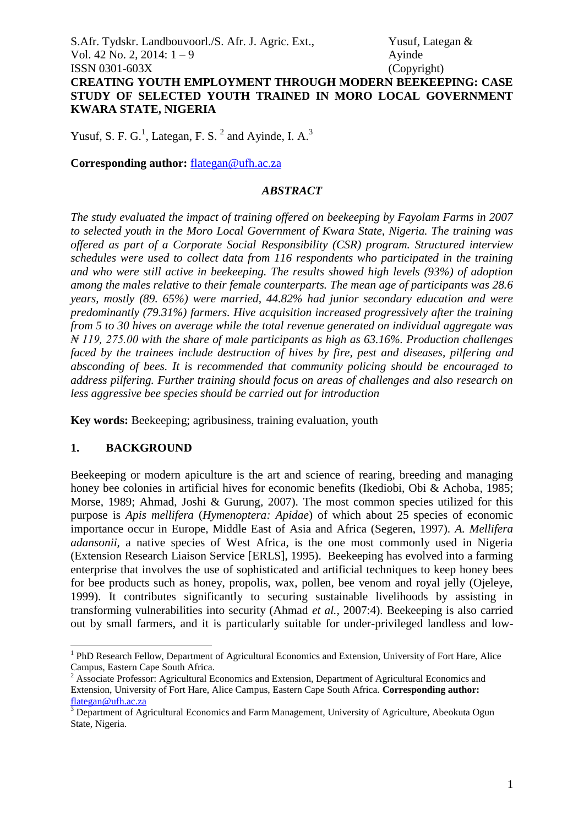S.Afr. Tydskr. Landbouvoorl./S. Afr. J. Agric. Ext., Yusuf, Lategan & Vol. 42 No. 2, 2014:  $1 - 9$  Ayinde ISSN 0301-603X (Copyright) **CREATING YOUTH EMPLOYMENT THROUGH MODERN BEEKEEPING: CASE STUDY OF SELECTED YOUTH TRAINED IN MORO LOCAL GOVERNMENT KWARA STATE, NIGERIA**

Yusuf, S. F. G.<sup>1</sup>, Lategan, F. S.<sup>2</sup> and Ayinde, I. A.<sup>3</sup>

**Corresponding author:** [flategan@ufh.ac.za](mailto:flategan@ufh.ac.za)

#### *ABSTRACT*

*The study evaluated the impact of training offered on beekeeping by Fayolam Farms in 2007 to selected youth in the Moro Local Government of Kwara State, Nigeria. The training was offered as part of a Corporate Social Responsibility (CSR) program. Structured interview schedules were used to collect data from 116 respondents who participated in the training and who were still active in beekeeping. The results showed high levels (93%) of adoption among the males relative to their female counterparts. The mean age of participants was 28.6 years, mostly (89. 65%) were married, 44.82% had junior secondary education and were predominantly (79.31%) farmers. Hive acquisition increased progressively after the training from 5 to 30 hives on average while the total revenue generated on individual aggregate was ₦ 119, 275.00 with the share of male participants as high as 63.16%. Production challenges faced by the trainees include destruction of hives by fire, pest and diseases, pilfering and absconding of bees. It is recommended that community policing should be encouraged to address pilfering. Further training should focus on areas of challenges and also research on less aggressive bee species should be carried out for introduction*

**Key words:** Beekeeping; agribusiness, training evaluation, youth

# **1. BACKGROUND**

<u>.</u>

Beekeeping or modern apiculture is the art and science of rearing, breeding and managing honey bee colonies in artificial hives for economic benefits (Ikediobi, Obi & Achoba*,* 1985; Morse, 1989; Ahmad, Joshi & Gurung*,* 2007). The most common species utilized for this purpose is *Apis mellifera* (*Hymenoptera: Apidae*) of which about 25 species of economic importance occur in Europe, Middle East of Asia and Africa (Segeren, 1997). *A. Mellifera adansonii,* a native species of West Africa, is the one most commonly used in Nigeria (Extension Research Liaison Service [ERLS], 1995). Beekeeping has evolved into a farming enterprise that involves the use of sophisticated and artificial techniques to keep honey bees for bee products such as honey, propolis, wax, pollen, bee venom and royal jelly (Ojeleye, 1999). It contributes significantly to securing sustainable livelihoods by assisting in transforming vulnerabilities into security (Ahmad *et al.,* 2007:4). Beekeeping is also carried out by small farmers, and it is particularly suitable for under-privileged landless and low-

<sup>&</sup>lt;sup>1</sup> PhD Research Fellow, Department of Agricultural Economics and Extension, University of Fort Hare, Alice Campus, Eastern Cape South Africa.

<sup>2</sup> Associate Professor: Agricultural Economics and Extension, Department of Agricultural Economics and Extension, University of Fort Hare, Alice Campus, Eastern Cape South Africa. **Corresponding author:** [flategan@ufh.ac.za](mailto:flategan@ufh.ac.za)

<sup>3</sup> Department of Agricultural Economics and Farm Management, University of Agriculture, Abeokuta Ogun State, Nigeria.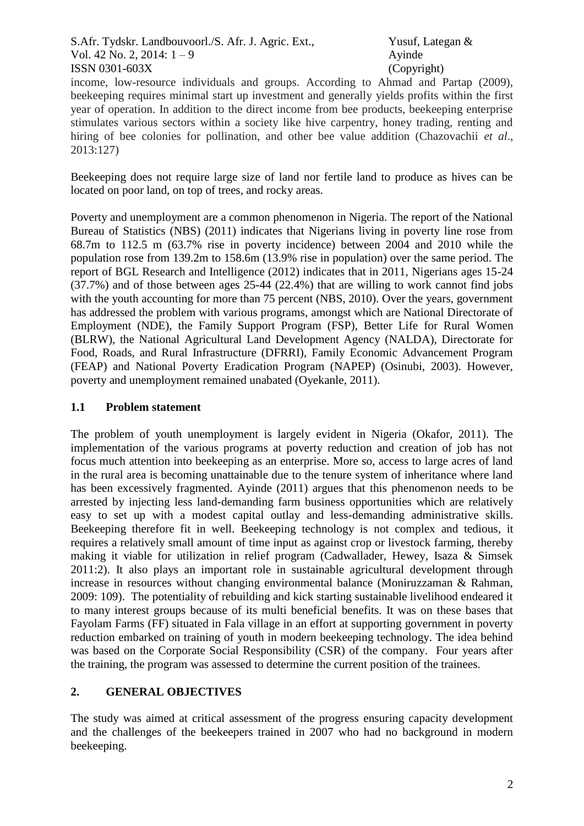S.Afr. Tydskr. Landbouvoorl./S. Afr. J. Agric. Ext., Yusuf, Lategan & Vol. 42 No. 2, 2014:  $1 - 9$  Ayinde ISSN 0301-603X (Copyright)

income, low-resource individuals and groups. According to Ahmad and Partap (2009), beekeeping requires minimal start up investment and generally yields profits within the first year of operation. In addition to the direct income from bee products, beekeeping enterprise stimulates various sectors within a society like hive carpentry, honey trading, renting and hiring of bee colonies for pollination, and other bee value addition (Chazovachii *et al*., 2013:127)

Beekeeping does not require large size of land nor fertile land to produce as hives can be located on poor land, on top of trees, and rocky areas.

Poverty and unemployment are a common phenomenon in Nigeria. The report of the National Bureau of Statistics (NBS) (2011) indicates that Nigerians living in poverty line rose from 68.7m to 112.5 m (63.7% rise in poverty incidence) between 2004 and 2010 while the population rose from 139.2m to 158.6m (13.9% rise in population) over the same period. The report of BGL Research and Intelligence (2012) indicates that in 2011, Nigerians ages 15-24 (37.7%) and of those between ages 25-44 (22.4%) that are willing to work cannot find jobs with the youth accounting for more than 75 percent (NBS, 2010). Over the years, government has addressed the problem with various programs, amongst which are National Directorate of Employment (NDE), the Family Support Program (FSP), Better Life for Rural Women (BLRW), the National Agricultural Land Development Agency (NALDA), Directorate for Food, Roads, and Rural Infrastructure (DFRRI), Family Economic Advancement Program (FEAP) and National Poverty Eradication Program (NAPEP) (Osinubi, 2003). However, poverty and unemployment remained unabated (Oyekanle, 2011).

### **1.1 Problem statement**

The problem of youth unemployment is largely evident in Nigeria (Okafor, 2011). The implementation of the various programs at poverty reduction and creation of job has not focus much attention into beekeeping as an enterprise. More so, access to large acres of land in the rural area is becoming unattainable due to the tenure system of inheritance where land has been excessively fragmented. Ayinde (2011) argues that this phenomenon needs to be arrested by injecting less land-demanding farm business opportunities which are relatively easy to set up with a modest capital outlay and less-demanding administrative skills. Beekeeping therefore fit in well. Beekeeping technology is not complex and tedious, it requires a relatively small amount of time input as against crop or livestock farming, thereby making it viable for utilization in relief program (Cadwallader, Hewey, Isaza & Simsek 2011:2). It also plays an important role in sustainable agricultural development through increase in resources without changing environmental balance (Moniruzzaman & Rahman, 2009: 109). The potentiality of rebuilding and kick starting sustainable livelihood endeared it to many interest groups because of its multi beneficial benefits. It was on these bases that Fayolam Farms (FF) situated in Fala village in an effort at supporting government in poverty reduction embarked on training of youth in modern beekeeping technology. The idea behind was based on the Corporate Social Responsibility (CSR) of the company. Four years after the training, the program was assessed to determine the current position of the trainees.

# **2. GENERAL OBJECTIVES**

The study was aimed at critical assessment of the progress ensuring capacity development and the challenges of the beekeepers trained in 2007 who had no background in modern beekeeping.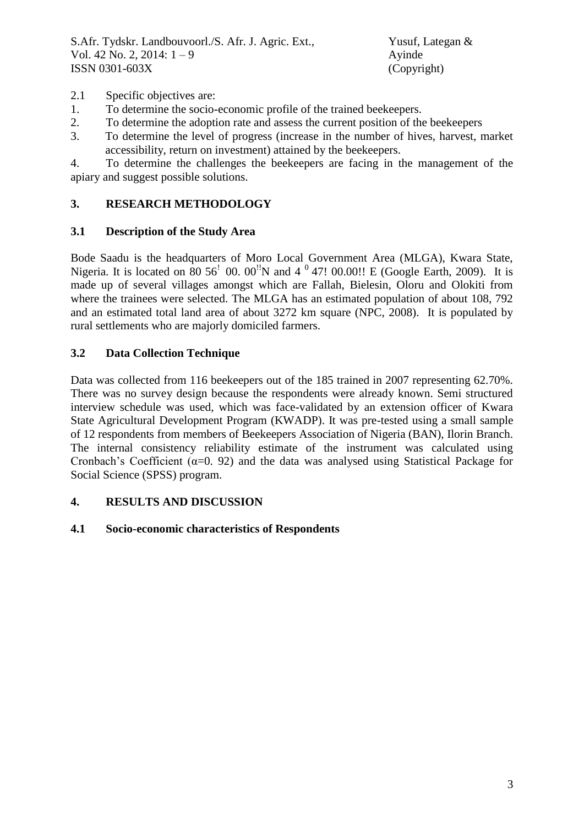- 2.1 Specific objectives are:
- 1. To determine the socio-economic profile of the trained beekeepers.
- 2. To determine the adoption rate and assess the current position of the beekeepers
- 3. To determine the level of progress (increase in the number of hives, harvest, market accessibility, return on investment) attained by the beekeepers.

4. To determine the challenges the beekeepers are facing in the management of the apiary and suggest possible solutions.

# **3. RESEARCH METHODOLOGY**

### **3.1 Description of the Study Area**

Bode Saadu is the headquarters of Moro Local Government Area (MLGA), Kwara State, Nigeria. It is located on  $80\,56'$  00.  $00''$ N and  $4\,^0$  47! 00.00!! E (Google Earth, 2009). It is made up of several villages amongst which are Fallah, Bielesin, Oloru and Olokiti from where the trainees were selected. The MLGA has an estimated population of about 108, 792 and an estimated total land area of about 3272 km square (NPC, 2008). It is populated by rural settlements who are majorly domiciled farmers.

# **3.2 Data Collection Technique**

Data was collected from 116 beekeepers out of the 185 trained in 2007 representing 62.70%. There was no survey design because the respondents were already known. Semi structured interview schedule was used, which was face-validated by an extension officer of Kwara State Agricultural Development Program (KWADP). It was pre-tested using a small sample of 12 respondents from members of Beekeepers Association of Nigeria (BAN), Ilorin Branch. The internal consistency reliability estimate of the instrument was calculated using Cronbach's Coefficient ( $\alpha$ =0. 92) and the data was analysed using Statistical Package for Social Science (SPSS) program.

# **4. RESULTS AND DISCUSSION**

# **4.1 Socio-economic characteristics of Respondents**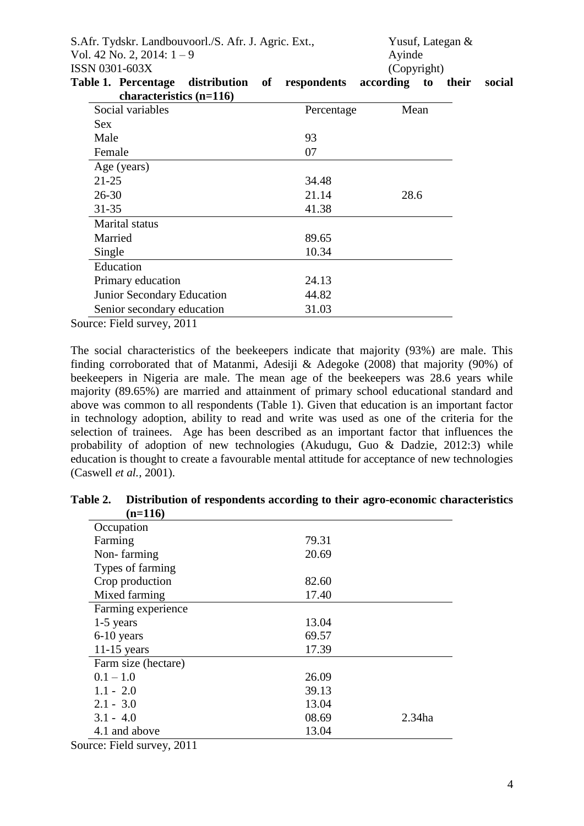S.Afr. Tydskr. Landbouvoorl./S. Afr. J. Agric. Ext., Yusuf, Lategan & Vol. 42 No. 2, 2014:  $1 - 9$  Ayinde ISSN 0301-603X (Copyright)

| characteristics $(n=116)$  |            |      |
|----------------------------|------------|------|
| Social variables           | Percentage | Mean |
| Sex                        |            |      |
| Male                       | 93         |      |
| Female                     | 07         |      |
| Age (years)                |            |      |
| $21 - 25$                  | 34.48      |      |
| $26 - 30$                  | 21.14      | 28.6 |
| $31 - 35$                  | 41.38      |      |
| Marital status             |            |      |
| Married                    | 89.65      |      |
| Single                     | 10.34      |      |
| Education                  |            |      |
| Primary education          | 24.13      |      |
| Junior Secondary Education | 44.82      |      |
| Senior secondary education | 31.03      |      |

**Table 1. Percentage distribution of respondents according to their social** 

Source: Field survey, 2011

The social characteristics of the beekeepers indicate that majority (93%) are male. This finding corroborated that of Matanmi, Adesiji & Adegoke (2008) that majority (90%) of beekeepers in Nigeria are male. The mean age of the beekeepers was 28.6 years while majority (89.65%) are married and attainment of primary school educational standard and above was common to all respondents (Table 1). Given that education is an important factor in technology adoption, ability to read and write was used as one of the criteria for the selection of trainees. Age has been described as an important factor that influences the probability of adoption of new technologies (Akudugu, Guo & Dadzie, 2012:3) while education is thought to create a favourable mental attitude for acceptance of new technologies (Caswell *et al.,* 2001).

| $(n=116)$           |       |        |
|---------------------|-------|--------|
| Occupation          |       |        |
| Farming             | 79.31 |        |
| Non-farming         | 20.69 |        |
| Types of farming    |       |        |
| Crop production     | 82.60 |        |
| Mixed farming       | 17.40 |        |
| Farming experience  |       |        |
| $1-5$ years         | 13.04 |        |
| 6-10 years          | 69.57 |        |
| $11-15$ years       | 17.39 |        |
| Farm size (hectare) |       |        |
| $0.1 - 1.0$         | 26.09 |        |
| $1.1 - 2.0$         | 39.13 |        |
| $2.1 - 3.0$         | 13.04 |        |
| $3.1 - 4.0$         | 08.69 | 2.34ha |
| 4.1 and above       | 13.04 |        |

**Table 2. Distribution of respondents according to their agro-economic characteristics (n=116)**

Source: Field survey, 2011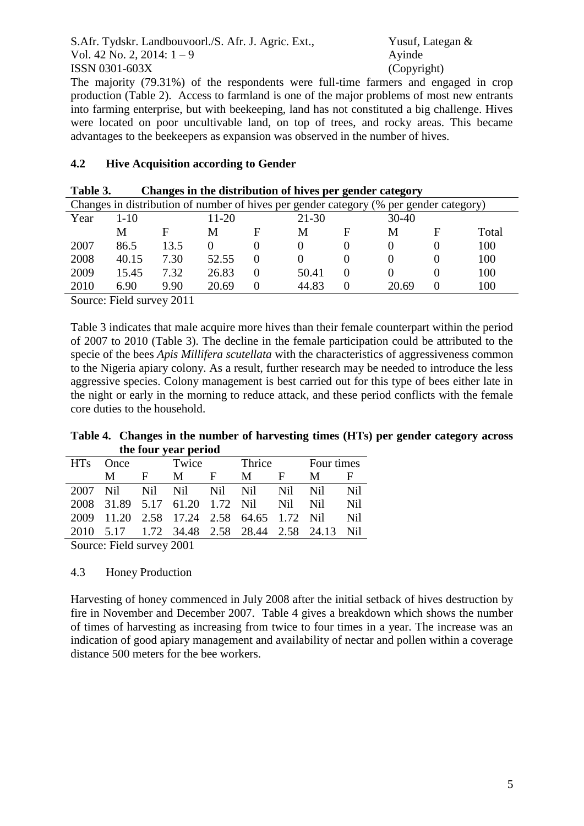S.Afr. Tydskr. Landbouvoorl./S. Afr. J. Agric. Ext., Yusuf, Lategan & Vol. 42 No. 2, 2014:  $1 - 9$  Ayinde ISSN 0301-603X (Copyright)

The majority (79.31%) of the respondents were full-time farmers and engaged in crop production (Table 2). Access to farmland is one of the major problems of most new entrants into farming enterprise, but with beekeeping, land has not constituted a big challenge. Hives were located on poor uncultivable land, on top of trees, and rocky areas. This became advantages to the beekeepers as expansion was observed in the number of hives.

### **4.2 Hive Acquisition according to Gender**

| Changes in distribution of number of hives per gender category (% per gender category) |          |      |           |   |           |   |       |   |       |  |
|----------------------------------------------------------------------------------------|----------|------|-----------|---|-----------|---|-------|---|-------|--|
| Year                                                                                   | $1 - 10$ |      | $11 - 20$ |   | $21 - 30$ |   | 30-40 |   |       |  |
|                                                                                        | M        | F    | M         | F | M         | F | M     | F | Total |  |
| 2007                                                                                   | 86.5     | 13.5 |           |   |           |   |       |   | 100   |  |
| 2008                                                                                   | 40.15    | 7.30 | 52.55     |   |           |   |       |   | 100   |  |
| 2009                                                                                   | 15.45    | 7.32 | 26.83     |   | 50.41     |   |       |   | 100   |  |
| 2010                                                                                   | 6.90     | 9.90 | 20.69     |   | 44.83     |   | 20.69 |   | 100   |  |
|                                                                                        |          |      |           |   |           |   |       |   |       |  |

### **Table 3. Changes in the distribution of hives per gender category**

Source: Field survey 2011

Table 3 indicates that male acquire more hives than their female counterpart within the period of 2007 to 2010 (Table 3). The decline in the female participation could be attributed to the specie of the bees *Apis Millifera scutellata* with the characteristics of aggressiveness common to the Nigeria apiary colony. As a result, further research may be needed to introduce the less aggressive species. Colony management is best carried out for this type of bees either late in the night or early in the morning to reduce attack, and these period conflicts with the female core duties to the household.

### **Table 4. Changes in the number of harvesting times (HTs) per gender category across the four year period**

| <b>HTs</b> | <b>Once</b>                                    |       | Twice |    | Thrice |       | Four times |                 |
|------------|------------------------------------------------|-------|-------|----|--------|-------|------------|-----------------|
|            | M                                              | - F - | M     | Е. | M      | - F   | M          | F               |
|            | 2007 Nil Nil Nil Nil Nil                       |       |       |    |        | Nil - | Nil.       | N <sub>il</sub> |
|            | 2008 31.89 5.17 61.20 1.72 Nil                 |       |       |    |        | Nil - | Nil        | N <sub>il</sub> |
|            | 2009 11.20 2.58 17.24 2.58 64.65 1.72 Nil      |       |       |    |        |       |            | Nil             |
|            | 2010 5.17 1.72 34.48 2.58 28.44 2.58 24.13 Nil |       |       |    |        |       |            |                 |
|            |                                                |       |       |    |        |       |            |                 |

Source: Field survey 2001

# 4.3 Honey Production

Harvesting of honey commenced in July 2008 after the initial setback of hives destruction by fire in November and December 2007. Table 4 gives a breakdown which shows the number of times of harvesting as increasing from twice to four times in a year. The increase was an indication of good apiary management and availability of nectar and pollen within a coverage distance 500 meters for the bee workers.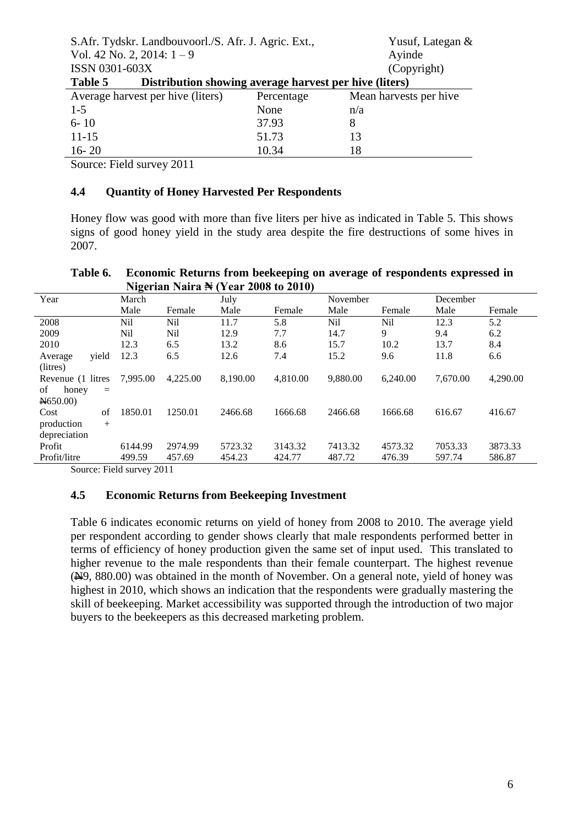|                                                                   | S.Afr. Tydskr. Landbouvoorl./S. Afr. J. Agric. Ext., |            | Yusuf, Lategan &       |  |  |  |  |
|-------------------------------------------------------------------|------------------------------------------------------|------------|------------------------|--|--|--|--|
|                                                                   | Vol. 42 No. 2, 2014: $1-9$                           |            | Ayinde                 |  |  |  |  |
| ISSN 0301-603X                                                    |                                                      |            | (Copyright)            |  |  |  |  |
| Distribution showing average harvest per hive (liters)<br>Table 5 |                                                      |            |                        |  |  |  |  |
|                                                                   | Average harvest per hive (liters)                    | Percentage | Mean harvests per hive |  |  |  |  |
| $1 - 5$                                                           |                                                      | None       | n/a                    |  |  |  |  |
| $6 - 10$                                                          |                                                      | 37.93      | 8                      |  |  |  |  |
| $11 - 15$                                                         |                                                      | 51.73      | 13                     |  |  |  |  |
| $16 - 20$                                                         |                                                      | 10.34      | 18                     |  |  |  |  |
|                                                                   |                                                      |            |                        |  |  |  |  |

Source: Field survey 2011

### **4.4 Quantity of Honey Harvested Per Respondents**

Honey flow was good with more than five liters per hive as indicated in Table 5. This shows signs of good honey yield in the study area despite the fire destructions of some hives in 2007.

|                    |          |          | Nigerian Naira <del>N</del> (Year 2008 to 2010) |          |          |          |          |          |
|--------------------|----------|----------|-------------------------------------------------|----------|----------|----------|----------|----------|
| Year               | March    |          | July                                            |          | November |          | December |          |
|                    | Male     | Female   | Male                                            | Female   | Male     | Female   | Male     | Female   |
| 2008               | Nil      | Nil      | 11.7                                            | 5.8      | Nil      | Nil      | 12.3     | 5.2      |
| 2009               | Nil      | Nil      | 12.9                                            | 7.7      | 14.7     | 9        | 9.4      | 6.2      |
| 2010               | 12.3     | 6.5      | 13.2                                            | 8.6      | 15.7     | 10.2     | 13.7     | 8.4      |
| vield<br>Average   | 12.3     | 6.5      | 12.6                                            | 7.4      | 15.2     | 9.6      | 11.8     | 6.6      |
| (litres)           |          |          |                                                 |          |          |          |          |          |
| Revenue (1 litres  | 7,995.00 | 4,225.00 | 8,190.00                                        | 4,810.00 | 9,880.00 | 6.240.00 | 7,670.00 | 4,290.00 |
| of<br>honey<br>$=$ |          |          |                                                 |          |          |          |          |          |
| N650.00            |          |          |                                                 |          |          |          |          |          |
| of<br>Cost         | 1850.01  | 1250.01  | 2466.68                                         | 1666.68  | 2466.68  | 1666.68  | 616.67   | 416.67   |
| production<br>$+$  |          |          |                                                 |          |          |          |          |          |
| depreciation       |          |          |                                                 |          |          |          |          |          |
| Profit             | 6144.99  | 2974.99  | 5723.32                                         | 3143.32  | 7413.32  | 4573.32  | 7053.33  | 3873.33  |
| Profit/litre       | 499.59   | 457.69   | 454.23                                          | 424.77   | 487.72   | 476.39   | 597.74   | 586.87   |
|                    |          |          |                                                 |          |          |          |          |          |

#### **Table 6. Economic Returns from beekeeping on average of respondents expressed in**   $N_{\text{min}}$   $N_{\text{max}}$

Source: Field survey 2011

#### **4.5 Economic Returns from Beekeeping Investment**

Table 6 indicates economic returns on yield of honey from 2008 to 2010. The average yield per respondent according to gender shows clearly that male respondents performed better in terms of efficiency of honey production given the same set of input used. This translated to higher revenue to the male respondents than their female counterpart. The highest revenue (N9, 880.00) was obtained in the month of November. On a general note, yield of honey was highest in 2010, which shows an indication that the respondents were gradually mastering the skill of beekeeping. Market accessibility was supported through the introduction of two major buyers to the beekeepers as this decreased marketing problem.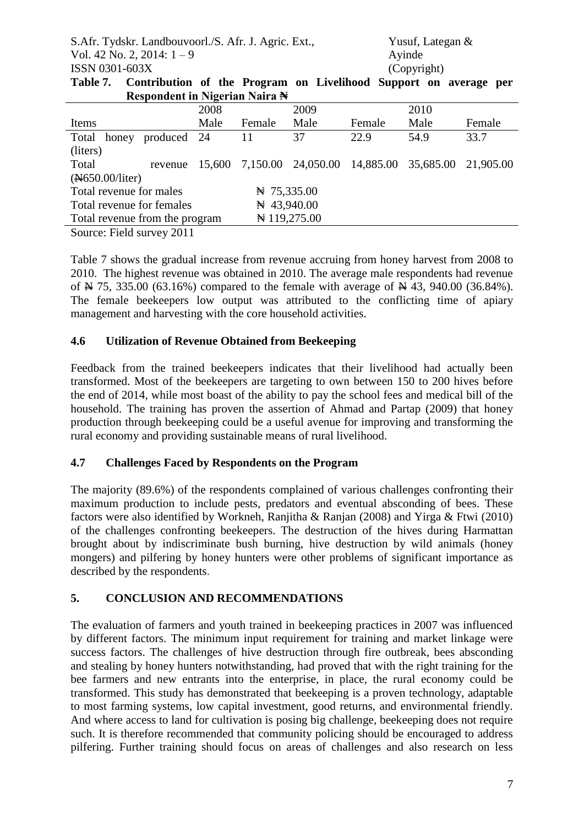S.Afr. Tydskr. Landbouvoorl./S. Afr. J. Agric. Ext., Yusuf, Lategan & Vol. 42 No. 2, 2014:  $1 - 9$  Ayinde ISSN 0301-603X (Copyright)

| Table 7. Contribution of the Program on Livelihood Support on average per |  |  |  |  |  |
|---------------------------------------------------------------------------|--|--|--|--|--|
| Respondent in Nigerian Naira N                                            |  |  |  |  |  |

| 1100 pondono in 14201 iuni 1430 iuni 14                          |      |                |                                               |        |      |           |
|------------------------------------------------------------------|------|----------------|-----------------------------------------------|--------|------|-----------|
|                                                                  | 2008 |                | 2009                                          |        | 2010 |           |
| Items                                                            | Male | Female         | Male                                          | Female | Male | Female    |
| Total<br>produced 24<br>honey                                    |      | 11             | 37                                            | 22.9   | 54.9 | 33.7      |
| (liters)                                                         |      |                |                                               |        |      |           |
| Total<br>revenue                                                 |      |                | 15,600 7,150.00 24,050.00 14,885.00 35,685.00 |        |      | 21,905.00 |
| (A650.00/liter)                                                  |      |                |                                               |        |      |           |
| Total revenue for males                                          |      | $\#$ 75,335.00 |                                               |        |      |           |
| Total revenue for females                                        |      | $\#$ 43,940.00 |                                               |        |      |           |
| Total revenue from the program                                   |      |                | $\pm 119,275.00$                              |        |      |           |
| $\sim$ $\sim$<br>$\mathbf{r}$ $\mathbf{r}$ $\mathbf{r}$<br>0.011 |      |                |                                               |        |      |           |

Source: Field survey 2011

Table 7 shows the gradual increase from revenue accruing from honey harvest from 2008 to 2010. The highest revenue was obtained in 2010. The average male respondents had revenue of  $\cancel{\text{N}}$  75, 335.00 (63.16%) compared to the female with average of  $\cancel{\text{N}}$  43, 940.00 (36.84%). The female beekeepers low output was attributed to the conflicting time of apiary management and harvesting with the core household activities.

# **4.6 Utilization of Revenue Obtained from Beekeeping**

Feedback from the trained beekeepers indicates that their livelihood had actually been transformed. Most of the beekeepers are targeting to own between 150 to 200 hives before the end of 2014, while most boast of the ability to pay the school fees and medical bill of the household. The training has proven the assertion of Ahmad and Partap (2009) that honey production through beekeeping could be a useful avenue for improving and transforming the rural economy and providing sustainable means of rural livelihood.

# **4.7 Challenges Faced by Respondents on the Program**

The majority (89.6%) of the respondents complained of various challenges confronting their maximum production to include pests, predators and eventual absconding of bees. These factors were also identified by Workneh, Ranjitha & Ranjan (2008) and Yirga & Ftwi (2010) of the challenges confronting beekeepers. The destruction of the hives during Harmattan brought about by indiscriminate bush burning, hive destruction by wild animals (honey mongers) and pilfering by honey hunters were other problems of significant importance as described by the respondents.

# **5. CONCLUSION AND RECOMMENDATIONS**

The evaluation of farmers and youth trained in beekeeping practices in 2007 was influenced by different factors. The minimum input requirement for training and market linkage were success factors. The challenges of hive destruction through fire outbreak, bees absconding and stealing by honey hunters notwithstanding, had proved that with the right training for the bee farmers and new entrants into the enterprise, in place, the rural economy could be transformed. This study has demonstrated that beekeeping is a proven technology, adaptable to most farming systems, low capital investment, good returns, and environmental friendly. And where access to land for cultivation is posing big challenge, beekeeping does not require such. It is therefore recommended that community policing should be encouraged to address pilfering. Further training should focus on areas of challenges and also research on less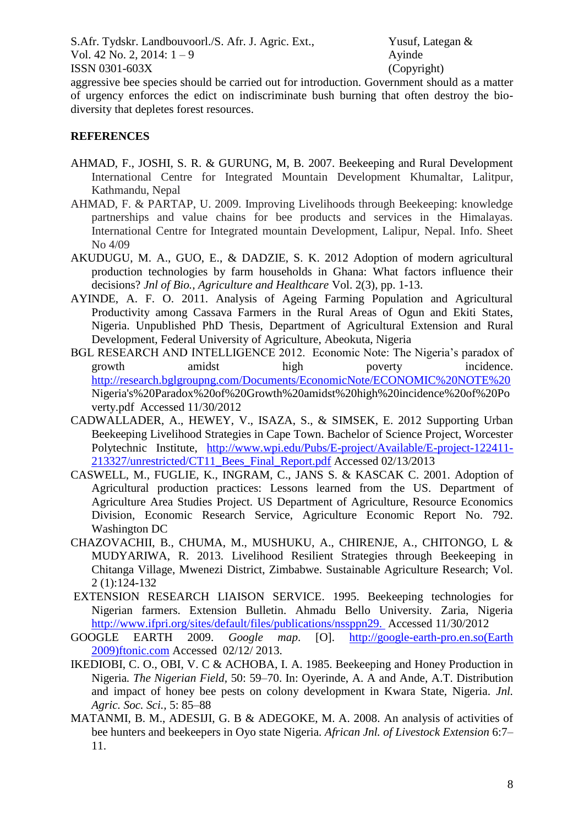S.Afr. Tydskr. Landbouvoorl./S. Afr. J. Agric. Ext., Yusuf, Lategan & Vol. 42 No. 2, 2014:  $1 - 9$  Ayinde ISSN 0301-603X (Copyright)

aggressive bee species should be carried out for introduction. Government should as a matter of urgency enforces the edict on indiscriminate bush burning that often destroy the biodiversity that depletes forest resources.

# **REFERENCES**

- AHMAD, F., JOSHI, S. R. & GURUNG, M, B. 2007. Beekeeping and Rural Development International Centre for Integrated Mountain Development Khumaltar, Lalitpur, Kathmandu, Nepal
- AHMAD, F. & PARTAP, U. 2009. Improving Livelihoods through Beekeeping: knowledge partnerships and value chains for bee products and services in the Himalayas. International Centre for Integrated mountain Development, Lalipur, Nepal. Info. Sheet No 4/09
- AKUDUGU, M. A., GUO, E., & DADZIE, S. K. 2012 Adoption of modern agricultural production technologies by farm households in Ghana: What factors influence their decisions? *Jnl of Bio., Agriculture and Healthcare* Vol. 2(3), pp. 1-13.
- AYINDE, A. F. O. 2011. Analysis of Ageing Farming Population and Agricultural Productivity among Cassava Farmers in the Rural Areas of Ogun and Ekiti States, Nigeria. Unpublished PhD Thesis, Department of Agricultural Extension and Rural Development, Federal University of Agriculture, Abeokuta, Nigeria
- BGL RESEARCH AND INTELLIGENCE 2012. Economic Note: The Nigeria's paradox of growth amidst high poverty incidence. [http://research.bglgroupng.com/Documents/EconomicNote/ECONOMIC%20NOTE%20](http://research.bglgroupng.com/Documents/EconomicNote/ECONOMIC%20NOTE) Nigeria's%20Paradox%20of%20Growth%20amidst%20high%20incidence%20of%20Po verty.pdf Accessed 11/30/2012
- CADWALLADER, A., HEWEY, V., ISAZA, S., & SIMSEK, E. 2012 Supporting Urban Beekeeping Livelihood Strategies in Cape Town. Bachelor of Science Project, Worcester Polytechnic Institute, [http://www.wpi.edu/Pubs/E-project/Available/E-project-122411-](http://www.wpi.edu/Pubs/E-project/Available/E-project-122411-213327/unrestricted/CT11_Bees_Final_Report.pdf) [213327/unrestricted/CT11\\_Bees\\_Final\\_Report.pdf](http://www.wpi.edu/Pubs/E-project/Available/E-project-122411-213327/unrestricted/CT11_Bees_Final_Report.pdf) Accessed 02/13/2013
- CASWELL, M., FUGLIE, K., INGRAM, C., JANS S. & KASCAK C*.* 2001. Adoption of Agricultural production practices: Lessons learned from the US. Department of Agriculture Area Studies Project. US Department of Agriculture, Resource Economics Division, Economic Research Service, Agriculture Economic Report No. 792. Washington DC
- CHAZOVACHII, B., CHUMA, M., MUSHUKU, A., CHIRENJE, A., CHITONGO, L & MUDYARIWA, R. 2013. Livelihood Resilient Strategies through Beekeeping in Chitanga Village, Mwenezi District, Zimbabwe. Sustainable Agriculture Research; Vol. 2 (1):124-132
- EXTENSION RESEARCH LIAISON SERVICE. 1995. Beekeeping technologies for Nigerian farmers. Extension Bulletin. Ahmadu Bello University. Zaria, Nigeria <http://www.ifpri.org/sites/default/files/publications/nssppn29.>Accessed 11/30/2012
- GOOGLE EARTH 2009. *Google map*. [O]. http://google-earth-pro.en.so(Earth 2009)ftonic.com Accessed 02/12/ 2013.
- IKEDIOBI, C. O., OBI, V. C & ACHOBA, I. A. 1985. Beekeeping and Honey Production in Nigeria*. The Nigerian Field,* 50: 59–70. In: Oyerinde, A. A and Ande, A.T. Distribution and impact of honey bee pests on colony development in Kwara State, Nigeria. *Jnl. Agric. Soc. Sci.,* 5: 85–88
- MATANMI, B. M., ADESIJI, G. B & ADEGOKE, M. A. 2008. An analysis of activities of bee hunters and beekeepers in Oyo state Nigeria. *African Jnl. of Livestock Extension* 6:7– 11.